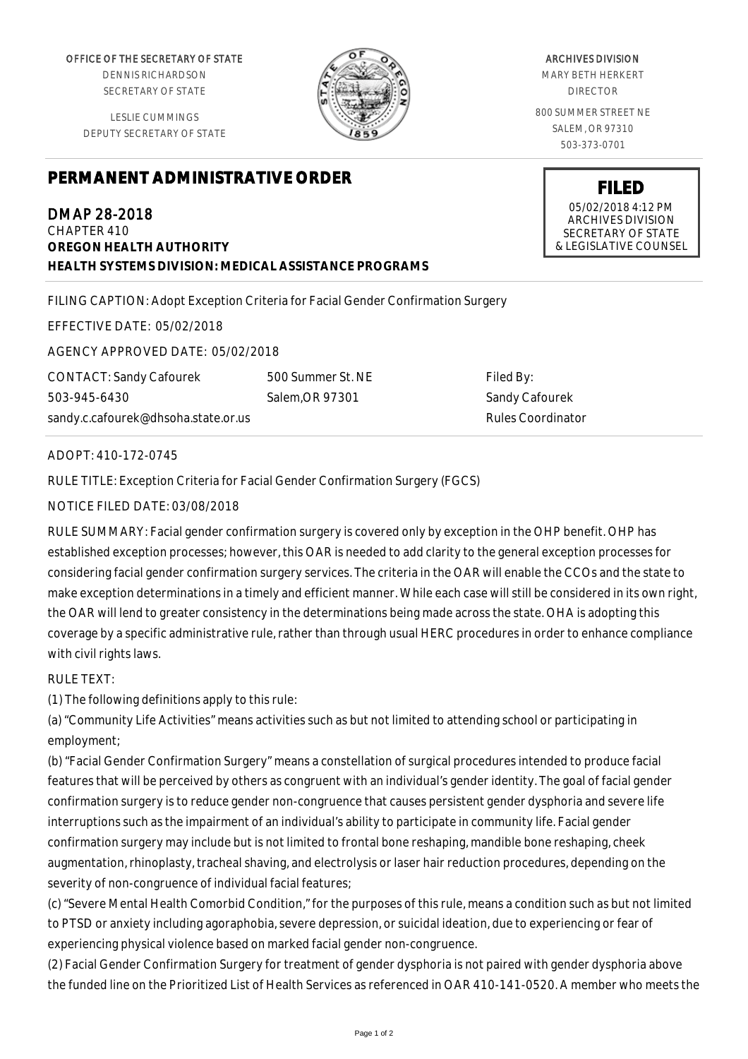OFFICE OF THE SECRETARY OF STATE

DENNIS RICHARDSON SECRETARY OF STATE

LESLIE CUMMINGS DEPUTY SECRETARY OF STATE

## **PERMANENT ADMINISTRATIVE ORDER**

DMAP 28-2018 CHAPTER 410 **OREGON HEALTH AUTHORITY HEALTH SYSTEMS DIVISION: MEDICAL ASSISTANCE PROGRAMS**

FILING CAPTION: Adopt Exception Criteria for Facial Gender Confirmation Surgery

EFFECTIVE DATE: 05/02/2018

AGENCY APPROVED DATE: 05/02/2018

CONTACT: Sandy Cafourek 503-945-6430 sandy.c.cafourek@dhsoha.state.or.us 500 Summer St. NE Salem,OR 97301

Filed By: Sandy Cafourek Rules Coordinator

## ADOPT: 410-172-0745

RULE TITLE: Exception Criteria for Facial Gender Confirmation Surgery (FGCS)

## NOTICE FILED DATE: 03/08/2018

RULE SUMMARY: Facial gender confirmation surgery is covered only by exception in the OHP benefit. OHP has established exception processes; however, this OAR is needed to add clarity to the general exception processes for considering facial gender confirmation surgery services. The criteria in the OAR will enable the CCOs and the state to make exception determinations in a timely and efficient manner. While each case will still be considered in its own right, the OAR will lend to greater consistency in the determinations being made across the state. OHA is adopting this coverage by a specific administrative rule, rather than through usual HERC procedures in order to enhance compliance with civil rights laws.

## RULE TEXT:

(1) The following definitions apply to this rule:

(a) "Community Life Activities" means activities such as but not limited to attending school or participating in employment;

(b) "Facial Gender Confirmation Surgery" means a constellation of surgical procedures intended to produce facial features that will be perceived by others as congruent with an individual's gender identity. The goal of facial gender confirmation surgery is to reduce gender non-congruence that causes persistent gender dysphoria and severe life interruptions such as the impairment of an individual's ability to participate in community life. Facial gender confirmation surgery may include but is not limited to frontal bone reshaping, mandible bone reshaping, cheek augmentation, rhinoplasty, tracheal shaving, and electrolysis or laser hair reduction procedures, depending on the severity of non-congruence of individual facial features;

(c) "Severe Mental Health Comorbid Condition," for the purposes of this rule, means a condition such as but not limited to PTSD or anxiety including agoraphobia, severe depression, or suicidal ideation, due to experiencing or fear of experiencing physical violence based on marked facial gender non-congruence.

(2) Facial Gender Confirmation Surgery for treatment of gender dysphoria is not paired with gender dysphoria above the funded line on the Prioritized List of Health Services as referenced in OAR 410-141-0520. A member who meets the

ARCHIVES DIVISION

MARY BETH HERKERT DIRECTOR

800 SUMMER STREET NE SALEM, OR 97310 503-373-0701



**FILED** 05/02/2018 4:12 PM ARCHIVES DIVISION SECRETARY OF STATE

& LEGISLATIVE COUNSEL